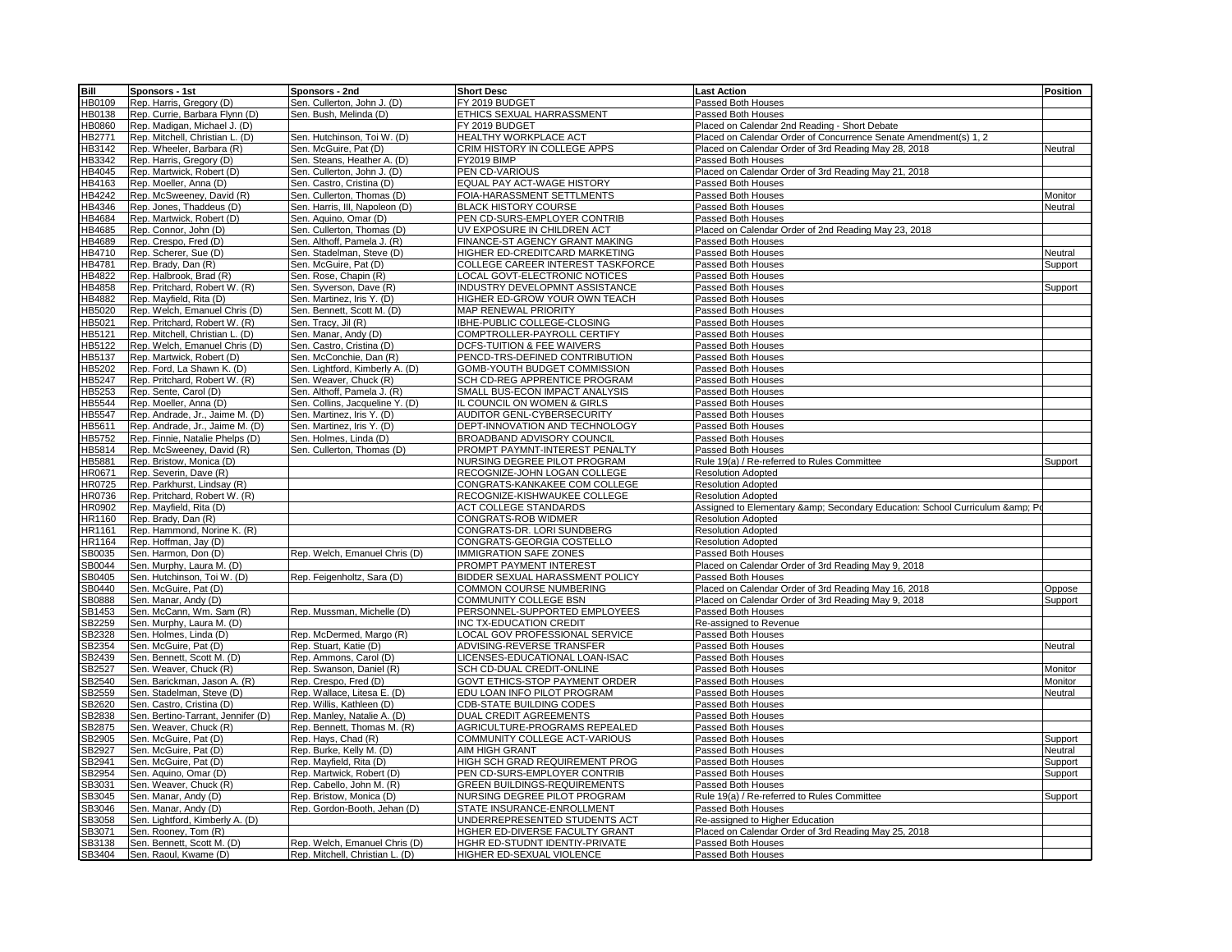| Bill                         | Sponsors - 1st                     | Sponsors - 2nd                  | <b>Short Desc</b>                                 | <b>Last Action</b>                                                   | <b>Position</b> |
|------------------------------|------------------------------------|---------------------------------|---------------------------------------------------|----------------------------------------------------------------------|-----------------|
| HB0109                       | Rep. Harris, Gregory (D)           | Sen. Cullerton, John J. (D)     | FY 2019 BUDGET                                    | Passed Both Houses                                                   |                 |
| HB0138                       | Rep. Currie, Barbara Flynn (D)     | Sen. Bush, Melinda (D)          | ETHICS SEXUAL HARRASSMENT                         | Passed Both Houses                                                   |                 |
| HB0860                       | Rep. Madigan, Michael J. (D)       |                                 | FY 2019 BUDGET                                    | Placed on Calendar 2nd Reading - Short Debate                        |                 |
| HB2771                       | Rep. Mitchell, Christian L. (D)    | Sen. Hutchinson, Toi W. (D)     | HEALTHY WORKPLACE ACT                             | Placed on Calendar Order of Concurrence Senate Amendment(s) 1, 2     |                 |
| HB3142                       | Rep. Wheeler, Barbara (R)          | Sen. McGuire, Pat (D)           | CRIM HISTORY IN COLLEGE APPS                      | Placed on Calendar Order of 3rd Reading May 28, 2018                 | Neutral         |
| HB3342                       | Rep. Harris, Gregory (D)           | Sen. Steans, Heather A. (D)     | FY2019 BIMP                                       | Passed Both Houses                                                   |                 |
| HB4045                       | Rep. Martwick, Robert (D)          | Sen. Cullerton, John J. (D)     | PEN CD-VARIOUS                                    | Placed on Calendar Order of 3rd Reading May 21, 2018                 |                 |
| HB4163                       | Rep. Moeller, Anna (D)             | Sen. Castro, Cristina (D)       | EQUAL PAY ACT-WAGE HISTORY                        | Passed Both Houses                                                   |                 |
| <b>B4242</b>                 | Rep. McSweeney, David (R)          | Sen. Cullerton, Thomas (D)      | FOIA-HARASSMENT SETTLMENTS                        | Passed Both Houses                                                   | Monitor         |
| HB4346                       | Rep. Jones, Thaddeus (D)           | Sen. Harris, III, Napoleon (D)  | <b>BLACK HISTORY COURSE</b>                       | Passed Both Houses                                                   | Neutral         |
| <b>B4684</b>                 | Rep. Martwick, Robert (D)          | Sen. Aquino, Omar (D)           | PEN CD-SURS-EMPLOYER CONTRIB                      | Passed Both Houses                                                   |                 |
| <b>IB4685</b>                | Rep. Connor, John (D)              | Sen. Cullerton, Thomas (D)      | UV EXPOSURE IN CHILDREN ACT                       | Placed on Calendar Order of 2nd Reading May 23, 2018                 |                 |
| <b>B4689</b>                 | Rep. Crespo, Fred (D)              | Sen. Althoff, Pamela J. (R)     | FINANCE-ST AGENCY GRANT MAKING                    | Passed Both Houses                                                   |                 |
| <b>B4710</b>                 | Rep. Scherer, Sue (D)              | Sen. Stadelman, Steve (D)       | HIGHER ED-CREDITCARD MARKETING                    | Passed Both Houses                                                   | Neutral         |
| HB4781                       | Rep. Brady, Dan (R)                | Sen. McGuire, Pat (D)           | COLLEGE CAREER INTEREST TASKFORCE                 | Passed Both Houses                                                   | Support         |
| <b>IB4822</b>                | Rep. Halbrook, Brad (R)            | Sen. Rose, Chapin (R)           | LOCAL GOVT-ELECTRONIC NOTICES                     | Passed Both Houses                                                   |                 |
| <b>IB4858</b>                | Rep. Pritchard, Robert W. (R)      | Sen. Syverson, Dave (R)         | INDUSTRY DEVELOPMNT ASSISTANCE                    | Passed Both Houses                                                   | Support         |
| <b>IB4882</b>                | Rep. Mayfield, Rita (D)            | Sen. Martinez, Iris Y. (D)      | HIGHER ED-GROW YOUR OWN TEACH                     | Passed Both Houses                                                   |                 |
| <b>IB5020</b>                | Rep. Welch, Emanuel Chris (D)      | Sen. Bennett, Scott M. (D)      | MAP RENEWAL PRIORITY                              | Passed Both Houses                                                   |                 |
| HB5021                       | Rep. Pritchard, Robert W. (R)      | Sen. Tracy, Jil (R)             | IBHE-PUBLIC COLLEGE-CLOSING                       | Passed Both Houses                                                   |                 |
| <b>B5121</b>                 | Rep. Mitchell, Christian L. (D)    | Sen. Manar, Andy (D)            | COMPTROLLER-PAYROLL CERTIFY                       | Passed Both Houses                                                   |                 |
| HB5122                       | Rep. Welch, Emanuel Chris (D)      | Sen. Castro, Cristina (D)       | DCFS-TUITION & FEE WAIVERS                        | Passed Both Houses                                                   |                 |
| HB5137                       | Rep. Martwick, Robert (D)          | Sen. McConchie, Dan (R)         | PENCD-TRS-DEFINED CONTRIBUTION                    | Passed Both Houses                                                   |                 |
| HB5202                       | Rep. Ford, La Shawn K. (D)         | Sen. Lightford, Kimberly A. (D) | GOMB-YOUTH BUDGET COMMISSION                      | Passed Both Houses                                                   |                 |
| HB5247                       | Rep. Pritchard, Robert W. (R)      | Sen. Weaver, Chuck (R)          | SCH CD-REG APPRENTICE PROGRAM                     | Passed Both Houses                                                   |                 |
| HB5253                       | Rep. Sente, Carol (D)              | Sen. Althoff, Pamela J. (R)     | SMALL BUS-ECON IMPACT ANALYSIS                    | Passed Both Houses                                                   |                 |
| <b>B5544</b>                 | Rep. Moeller, Anna (D)             | Sen. Collins, Jacqueline Y. (D) | IL COUNCIL ON WOMEN & GIRLS                       | Passed Both Houses                                                   |                 |
| HB5547                       | Rep. Andrade, Jr., Jaime M. (D)    | Sen. Martinez, Iris Y. (D)      | AUDITOR GENL-CYBERSECURITY                        | Passed Both Houses                                                   |                 |
| HB5611                       | Rep. Andrade, Jr., Jaime M. (D)    | Sen. Martinez, Iris Y. (D)      | DEPT-INNOVATION AND TECHNOLOGY                    | Passed Both Houses                                                   |                 |
| HB5752                       | Rep. Finnie, Natalie Phelps (D)    | Sen. Holmes, Linda (D)          | BROADBAND ADVISORY COUNCIL                        | Passed Both Houses                                                   |                 |
| <b>B5814</b>                 | Rep. McSweeney, David (R)          | Sen. Cullerton, Thomas (D)      | PROMPT PAYMNT-INTEREST PENALTY                    | Passed Both Houses                                                   |                 |
| HB5881                       | Rep. Bristow, Monica (D)           |                                 | NURSING DEGREE PILOT PROGRAM                      | Rule 19(a) / Re-referred to Rules Committee                          | Support         |
| HR0671                       | Rep. Severin, Dave (R)             |                                 | RECOGNIZE-JOHN LOGAN COLLEGE                      | <b>Resolution Adopted</b>                                            |                 |
| <b>R0725</b>                 | Rep. Parkhurst, Lindsay (R)        |                                 | CONGRATS-KANKAKEE COM COLLEGE                     | <b>Resolution Adopted</b>                                            |                 |
| <b>HR0736</b>                | Rep. Pritchard, Robert W. (R)      |                                 | RECOGNIZE-KISHWAUKEE COLLEGE                      | <b>Resolution Adopted</b>                                            |                 |
| <b>HR0902</b>                |                                    |                                 | <b>ACT COLLEGE STANDARDS</b>                      |                                                                      |                 |
|                              | Rep. Mayfield, Rita (D)            |                                 |                                                   | Assigned to Elementary & Secondary Education: School Curriculum & Po |                 |
| <b>R1160</b><br><b>R1161</b> | Rep. Brady, Dan (R)                |                                 | CONGRATS-ROB WIDMER<br>CONGRATS-DR. LORI SUNDBERG | <b>Resolution Adopted</b>                                            |                 |
|                              | Rep. Hammond, Norine K. (R)        |                                 |                                                   | <b>Resolution Adopted</b>                                            |                 |
| <b>HR1164</b>                | Rep. Hoffman, Jay (D)              |                                 | CONGRATS-GEORGIA COSTELLO                         | <b>Resolution Adopted</b>                                            |                 |
| SB0035                       | Sen. Harmon, Don (D)               | Rep. Welch, Emanuel Chris (D)   | <b>IMMIGRATION SAFE ZONES</b>                     | Passed Both Houses                                                   |                 |
| SB0044                       | Sen. Murphy, Laura M. (D)          |                                 | PROMPT PAYMENT INTEREST                           | Placed on Calendar Order of 3rd Reading May 9, 2018                  |                 |
| SB0405                       | Sen. Hutchinson, Toi W. (D)        | Rep. Feigenholtz, Sara (D)      | BIDDER SEXUAL HARASSMENT POLICY                   | Passed Both Houses                                                   |                 |
| B0440                        | Sen. McGuire, Pat (D)              |                                 | COMMON COURSE NUMBERING                           | Placed on Calendar Order of 3rd Reading May 16, 2018                 | Oppose          |
| SB0888                       | Sen. Manar, Andy (D)               |                                 | COMMUNITY COLLEGE BSN                             | Placed on Calendar Order of 3rd Reading May 9, 2018                  | Support         |
| SB1453                       | Sen. McCann, Wm. Sam (R)           | Rep. Mussman, Michelle (D)      | PERSONNEL-SUPPORTED EMPLOYEES                     | Passed Both Houses                                                   |                 |
| SB2259                       | Sen. Murphy, Laura M. (D)          |                                 | INC TX-EDUCATION CREDIT                           | Re-assigned to Revenue                                               |                 |
| SB2328                       | Sen. Holmes, Linda (D)             | Rep. McDermed, Margo (R)        | LOCAL GOV PROFESSIONAL SERVICE                    | Passed Both Houses                                                   |                 |
| SB2354                       | Sen. McGuire, Pat (D)              | Rep. Stuart, Katie (D)          | ADVISING-REVERSE TRANSFER                         | Passed Both Houses                                                   | Neutral         |
| SB2439                       | Sen. Bennett, Scott M. (D)         | Rep. Ammons, Carol (D)          | LICENSES-EDUCATIONAL LOAN-ISAC                    | Passed Both Houses                                                   |                 |
| SB2527                       | Sen. Weaver, Chuck (R)             | Rep. Swanson, Daniel (R)        | SCH CD-DUAL CREDIT-ONLINE                         | Passed Both Houses                                                   | Monitor         |
| SB2540                       | Sen. Barickman, Jason A. (R)       | Rep. Crespo, Fred (D)           | GOVT ETHICS-STOP PAYMENT ORDER                    | Passed Both Houses                                                   | Monitor         |
| SB2559                       | Sen. Stadelman, Steve (D)          | Rep. Wallace, Litesa E. (D)     | EDU LOAN INFO PILOT PROGRAM                       | Passed Both Houses                                                   | Neutral         |
| SB2620                       | Sen. Castro, Cristina (D)          | Rep. Willis, Kathleen (D)       | CDB-STATE BUILDING CODES                          | Passed Both Houses                                                   |                 |
| B2838                        | Sen. Bertino-Tarrant, Jennifer (D) | Rep. Manley, Natalie A. (D)     | <b>DUAL CREDIT AGREEMENTS</b>                     | Passed Both Houses                                                   |                 |
| SB2875                       | Sen. Weaver, Chuck (R)             | Rep. Bennett, Thomas M. (R)     | AGRICULTURE-PROGRAMS REPEALED                     | Passed Both Houses                                                   |                 |
| SB2905                       | Sen. McGuire, Pat (D)              | Rep. Hays, Chad (R)             | <b>COMMUNITY COLLEGE ACT-VARIOUS</b>              | Passed Both Houses                                                   | Support         |
| SB2927                       | Sen. McGuire, Pat (D)              | Rep. Burke, Kelly M. (D)        | AIM HIGH GRANT                                    | Passed Both Houses                                                   | Neutral         |
| SB2941                       | Sen. McGuire, Pat (D)              | Rep. Mayfield, Rita (D)         | HIGH SCH GRAD REQUIREMENT PROG                    | Passed Both Houses                                                   | Support         |
| SB2954                       | Sen. Aquino, Omar (D)              | Rep. Martwick, Robert (D)       | PEN CD-SURS-EMPLOYER CONTRIB                      | Passed Both Houses                                                   | Support         |
| SB3031                       | Sen. Weaver, Chuck (R)             | Rep. Cabello, John M. (R)       | <b>GREEN BUILDINGS-REQUIREMENTS</b>               | Passed Both Houses                                                   |                 |
| SB3045                       | Sen. Manar, Andy (D)               | Rep. Bristow, Monica (D)        | NURSING DEGREE PILOT PROGRAM                      | Rule 19(a) / Re-referred to Rules Committee                          | Support         |
| SB3046                       | Sen. Manar, Andy (D)               | Rep. Gordon-Booth, Jehan (D)    | STATE INSURANCE-ENROLLMENT                        | Passed Both Houses                                                   |                 |
| SB3058                       | Sen. Lightford, Kimberly A. (D)    |                                 | UNDERREPRESENTED STUDENTS ACT                     | Re-assigned to Higher Education                                      |                 |
| SB3071                       | Sen. Rooney, Tom (R)               |                                 | HGHER ED-DIVERSE FACULTY GRANT                    | Placed on Calendar Order of 3rd Reading May 25, 2018                 |                 |
| SB3138                       | Sen. Bennett, Scott M. (D)         | Rep. Welch, Emanuel Chris (D)   | HGHR ED-STUDNT IDENTIY-PRIVATE                    | Passed Both Houses                                                   |                 |
| SB3404                       | Sen. Raoul, Kwame (D)              | Rep. Mitchell, Christian L. (D) | HIGHER ED-SEXUAL VIOLENCE                         | Passed Both Houses                                                   |                 |